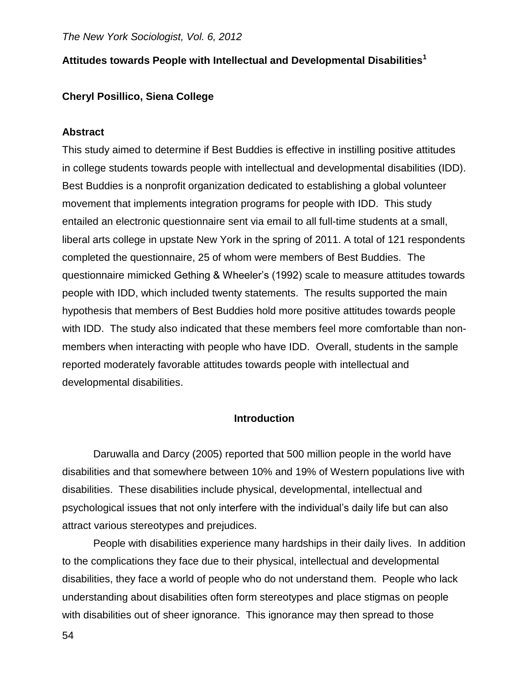## **Attitudes towards People with Intellectual and Developmental Disabilities<sup>1</sup>**

## **Cheryl Posillico, Siena College**

#### **Abstract**

This study aimed to determine if Best Buddies is effective in instilling positive attitudes in college students towards people with intellectual and developmental disabilities (IDD). Best Buddies is a nonprofit organization dedicated to establishing a global volunteer movement that implements integration programs for people with IDD. This study entailed an electronic questionnaire sent via email to all full-time students at a small, liberal arts college in upstate New York in the spring of 2011. A total of 121 respondents completed the questionnaire, 25 of whom were members of Best Buddies. The questionnaire mimicked Gething & Wheeler's (1992) scale to measure attitudes towards people with IDD, which included twenty statements. The results supported the main hypothesis that members of Best Buddies hold more positive attitudes towards people with IDD. The study also indicated that these members feel more comfortable than nonmembers when interacting with people who have IDD. Overall, students in the sample reported moderately favorable attitudes towards people with intellectual and developmental disabilities.

## **Introduction**

Daruwalla and Darcy (2005) reported that 500 million people in the world have disabilities and that somewhere between 10% and 19% of Western populations live with disabilities. These disabilities include physical, developmental, intellectual and psychological issues that not only interfere with the individual's daily life but can also attract various stereotypes and prejudices.

People with disabilities experience many hardships in their daily lives. In addition to the complications they face due to their physical, intellectual and developmental disabilities, they face a world of people who do not understand them. People who lack understanding about disabilities often form stereotypes and place stigmas on people with disabilities out of sheer ignorance. This ignorance may then spread to those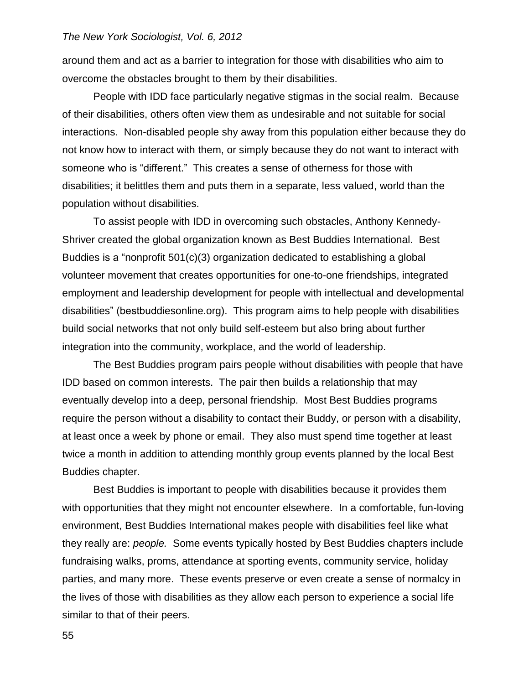around them and act as a barrier to integration for those with disabilities who aim to overcome the obstacles brought to them by their disabilities.

People with IDD face particularly negative stigmas in the social realm. Because of their disabilities, others often view them as undesirable and not suitable for social interactions. Non-disabled people shy away from this population either because they do not know how to interact with them, or simply because they do not want to interact with someone who is "different." This creates a sense of otherness for those with disabilities; it belittles them and puts them in a separate, less valued, world than the population without disabilities.

To assist people with IDD in overcoming such obstacles, Anthony Kennedy-Shriver created the global organization known as Best Buddies International. Best Buddies is a "nonprofit 501(c)(3) organization dedicated to establishing a global volunteer movement that creates opportunities for one-to-one friendships, integrated employment and leadership development for people with intellectual and developmental disabilities" (bestbuddiesonline.org). This program aims to help people with disabilities build social networks that not only build self-esteem but also bring about further integration into the community, workplace, and the world of leadership.

The Best Buddies program pairs people without disabilities with people that have IDD based on common interests. The pair then builds a relationship that may eventually develop into a deep, personal friendship. Most Best Buddies programs require the person without a disability to contact their Buddy, or person with a disability, at least once a week by phone or email. They also must spend time together at least twice a month in addition to attending monthly group events planned by the local Best Buddies chapter.

Best Buddies is important to people with disabilities because it provides them with opportunities that they might not encounter elsewhere. In a comfortable, fun-loving environment, Best Buddies International makes people with disabilities feel like what they really are: *people.* Some events typically hosted by Best Buddies chapters include fundraising walks, proms, attendance at sporting events, community service, holiday parties, and many more. These events preserve or even create a sense of normalcy in the lives of those with disabilities as they allow each person to experience a social life similar to that of their peers.

55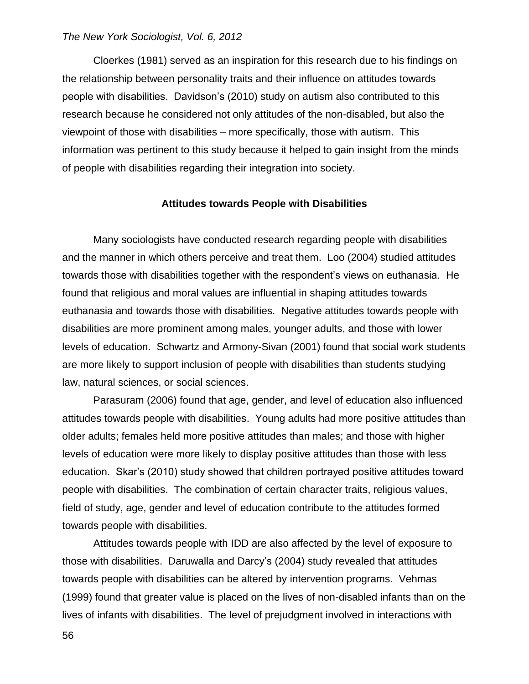Cloerkes (1981) served as an inspiration for this research due to his findings on the relationship between personality traits and their influence on attitudes towards people with disabilities. Davidson's (2010) study on autism also contributed to this research because he considered not only attitudes of the non-disabled, but also the viewpoint of those with disabilities – more specifically, those with autism. This information was pertinent to this study because it helped to gain insight from the minds of people with disabilities regarding their integration into society.

#### **Attitudes towards People with Disabilities**

Many sociologists have conducted research regarding people with disabilities and the manner in which others perceive and treat them. Loo (2004) studied attitudes towards those with disabilities together with the respondent's views on euthanasia. He found that religious and moral values are influential in shaping attitudes towards euthanasia and towards those with disabilities. Negative attitudes towards people with disabilities are more prominent among males, younger adults, and those with lower levels of education. Schwartz and Armony-Sivan (2001) found that social work students are more likely to support inclusion of people with disabilities than students studying law, natural sciences, or social sciences.

Parasuram (2006) found that age, gender, and level of education also influenced attitudes towards people with disabilities. Young adults had more positive attitudes than older adults; females held more positive attitudes than males; and those with higher levels of education were more likely to display positive attitudes than those with less education. Skar's (2010) study showed that children portrayed positive attitudes toward people with disabilities. The combination of certain character traits, religious values, field of study, age, gender and level of education contribute to the attitudes formed towards people with disabilities.

Attitudes towards people with IDD are also affected by the level of exposure to those with disabilities. Daruwalla and Darcy's (2004) study revealed that attitudes towards people with disabilities can be altered by intervention programs. Vehmas (1999) found that greater value is placed on the lives of non-disabled infants than on the lives of infants with disabilities. The level of prejudgment involved in interactions with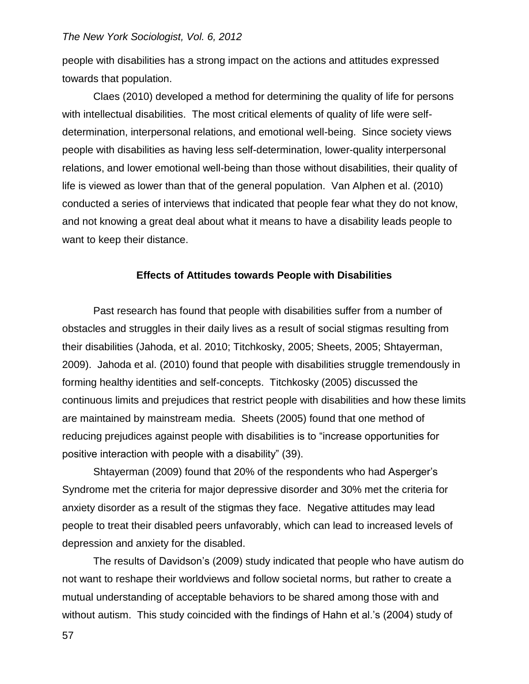people with disabilities has a strong impact on the actions and attitudes expressed towards that population.

Claes (2010) developed a method for determining the quality of life for persons with intellectual disabilities. The most critical elements of quality of life were selfdetermination, interpersonal relations, and emotional well-being. Since society views people with disabilities as having less self-determination, lower-quality interpersonal relations, and lower emotional well-being than those without disabilities, their quality of life is viewed as lower than that of the general population. Van Alphen et al. (2010) conducted a series of interviews that indicated that people fear what they do not know, and not knowing a great deal about what it means to have a disability leads people to want to keep their distance.

#### **Effects of Attitudes towards People with Disabilities**

Past research has found that people with disabilities suffer from a number of obstacles and struggles in their daily lives as a result of social stigmas resulting from their disabilities (Jahoda, et al. 2010; Titchkosky, 2005; Sheets, 2005; Shtayerman, 2009). Jahoda et al. (2010) found that people with disabilities struggle tremendously in forming healthy identities and self-concepts. Titchkosky (2005) discussed the continuous limits and prejudices that restrict people with disabilities and how these limits are maintained by mainstream media. Sheets (2005) found that one method of reducing prejudices against people with disabilities is to "increase opportunities for positive interaction with people with a disability" (39).

Shtayerman (2009) found that 20% of the respondents who had Asperger's Syndrome met the criteria for major depressive disorder and 30% met the criteria for anxiety disorder as a result of the stigmas they face. Negative attitudes may lead people to treat their disabled peers unfavorably, which can lead to increased levels of depression and anxiety for the disabled.

The results of Davidson's (2009) study indicated that people who have autism do not want to reshape their worldviews and follow societal norms, but rather to create a mutual understanding of acceptable behaviors to be shared among those with and without autism. This study coincided with the findings of Hahn et al.'s (2004) study of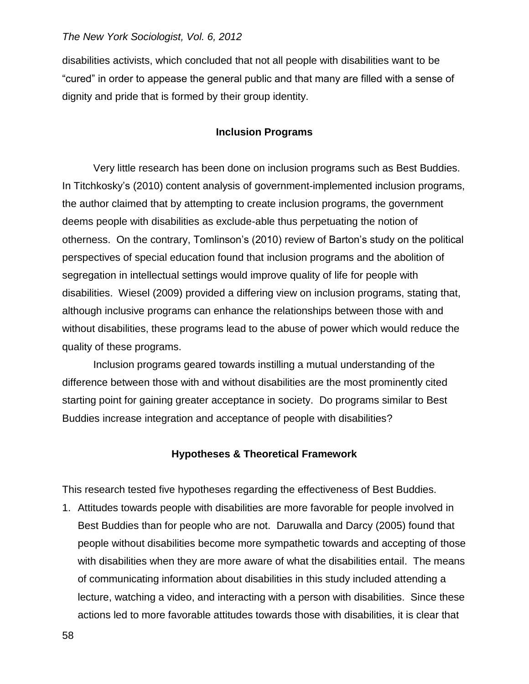disabilities activists, which concluded that not all people with disabilities want to be "cured" in order to appease the general public and that many are filled with a sense of dignity and pride that is formed by their group identity.

## **Inclusion Programs**

Very little research has been done on inclusion programs such as Best Buddies. In Titchkosky's (2010) content analysis of government-implemented inclusion programs, the author claimed that by attempting to create inclusion programs, the government deems people with disabilities as exclude-able thus perpetuating the notion of otherness. On the contrary, Tomlinson's (2010) review of Barton's study on the political perspectives of special education found that inclusion programs and the abolition of segregation in intellectual settings would improve quality of life for people with disabilities. Wiesel (2009) provided a differing view on inclusion programs, stating that, although inclusive programs can enhance the relationships between those with and without disabilities, these programs lead to the abuse of power which would reduce the quality of these programs.

Inclusion programs geared towards instilling a mutual understanding of the difference between those with and without disabilities are the most prominently cited starting point for gaining greater acceptance in society. Do programs similar to Best Buddies increase integration and acceptance of people with disabilities?

## **Hypotheses & Theoretical Framework**

This research tested five hypotheses regarding the effectiveness of Best Buddies.

1. Attitudes towards people with disabilities are more favorable for people involved in Best Buddies than for people who are not. Daruwalla and Darcy (2005) found that people without disabilities become more sympathetic towards and accepting of those with disabilities when they are more aware of what the disabilities entail. The means of communicating information about disabilities in this study included attending a lecture, watching a video, and interacting with a person with disabilities. Since these actions led to more favorable attitudes towards those with disabilities, it is clear that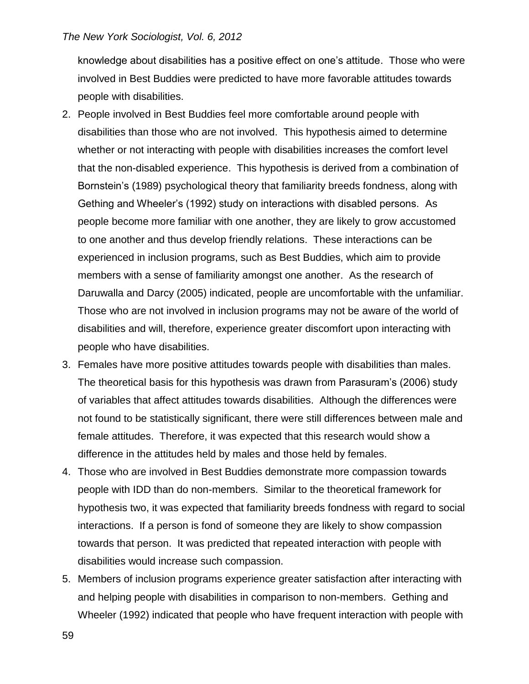knowledge about disabilities has a positive effect on one's attitude. Those who were involved in Best Buddies were predicted to have more favorable attitudes towards people with disabilities.

- 2. People involved in Best Buddies feel more comfortable around people with disabilities than those who are not involved. This hypothesis aimed to determine whether or not interacting with people with disabilities increases the comfort level that the non-disabled experience. This hypothesis is derived from a combination of Bornstein's (1989) psychological theory that familiarity breeds fondness, along with Gething and Wheeler's (1992) study on interactions with disabled persons. As people become more familiar with one another, they are likely to grow accustomed to one another and thus develop friendly relations. These interactions can be experienced in inclusion programs, such as Best Buddies, which aim to provide members with a sense of familiarity amongst one another. As the research of Daruwalla and Darcy (2005) indicated, people are uncomfortable with the unfamiliar. Those who are not involved in inclusion programs may not be aware of the world of disabilities and will, therefore, experience greater discomfort upon interacting with people who have disabilities.
- 3. Females have more positive attitudes towards people with disabilities than males. The theoretical basis for this hypothesis was drawn from Parasuram's (2006) study of variables that affect attitudes towards disabilities. Although the differences were not found to be statistically significant, there were still differences between male and female attitudes. Therefore, it was expected that this research would show a difference in the attitudes held by males and those held by females.
- 4. Those who are involved in Best Buddies demonstrate more compassion towards people with IDD than do non-members. Similar to the theoretical framework for hypothesis two, it was expected that familiarity breeds fondness with regard to social interactions. If a person is fond of someone they are likely to show compassion towards that person. It was predicted that repeated interaction with people with disabilities would increase such compassion.
- 5. Members of inclusion programs experience greater satisfaction after interacting with and helping people with disabilities in comparison to non-members. Gething and Wheeler (1992) indicated that people who have frequent interaction with people with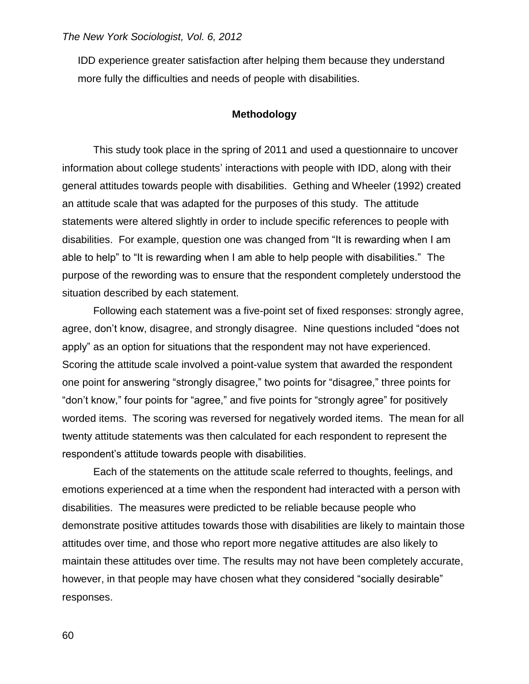IDD experience greater satisfaction after helping them because they understand more fully the difficulties and needs of people with disabilities.

## **Methodology**

This study took place in the spring of 2011 and used a questionnaire to uncover information about college students' interactions with people with IDD, along with their general attitudes towards people with disabilities. Gething and Wheeler (1992) created an attitude scale that was adapted for the purposes of this study. The attitude statements were altered slightly in order to include specific references to people with disabilities. For example, question one was changed from "It is rewarding when I am able to help" to "It is rewarding when I am able to help people with disabilities." The purpose of the rewording was to ensure that the respondent completely understood the situation described by each statement.

Following each statement was a five-point set of fixed responses: strongly agree, agree, don't know, disagree, and strongly disagree. Nine questions included "does not apply" as an option for situations that the respondent may not have experienced. Scoring the attitude scale involved a point-value system that awarded the respondent one point for answering "strongly disagree," two points for "disagree," three points for "don't know," four points for "agree," and five points for "strongly agree" for positively worded items. The scoring was reversed for negatively worded items. The mean for all twenty attitude statements was then calculated for each respondent to represent the respondent's attitude towards people with disabilities.

Each of the statements on the attitude scale referred to thoughts, feelings, and emotions experienced at a time when the respondent had interacted with a person with disabilities. The measures were predicted to be reliable because people who demonstrate positive attitudes towards those with disabilities are likely to maintain those attitudes over time, and those who report more negative attitudes are also likely to maintain these attitudes over time. The results may not have been completely accurate, however, in that people may have chosen what they considered "socially desirable" responses.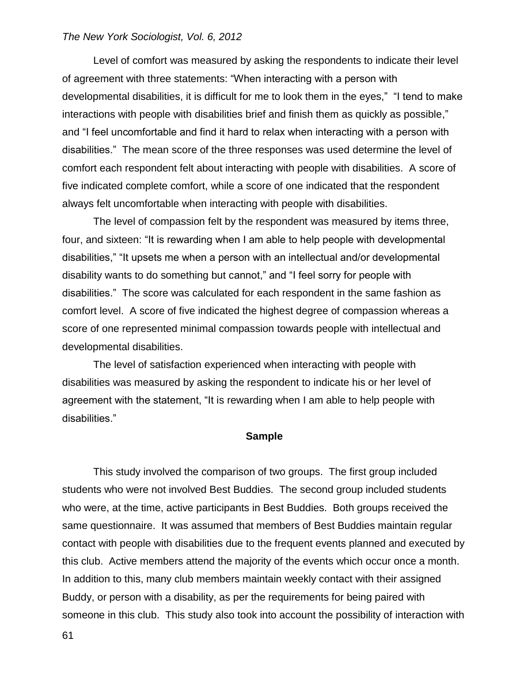Level of comfort was measured by asking the respondents to indicate their level of agreement with three statements: "When interacting with a person with developmental disabilities, it is difficult for me to look them in the eyes," "I tend to make interactions with people with disabilities brief and finish them as quickly as possible," and "I feel uncomfortable and find it hard to relax when interacting with a person with disabilities." The mean score of the three responses was used determine the level of comfort each respondent felt about interacting with people with disabilities. A score of five indicated complete comfort, while a score of one indicated that the respondent always felt uncomfortable when interacting with people with disabilities.

The level of compassion felt by the respondent was measured by items three, four, and sixteen: "It is rewarding when I am able to help people with developmental disabilities," "It upsets me when a person with an intellectual and/or developmental disability wants to do something but cannot," and "I feel sorry for people with disabilities." The score was calculated for each respondent in the same fashion as comfort level. A score of five indicated the highest degree of compassion whereas a score of one represented minimal compassion towards people with intellectual and developmental disabilities.

The level of satisfaction experienced when interacting with people with disabilities was measured by asking the respondent to indicate his or her level of agreement with the statement, "It is rewarding when I am able to help people with disabilities."

#### **Sample**

This study involved the comparison of two groups. The first group included students who were not involved Best Buddies. The second group included students who were, at the time, active participants in Best Buddies. Both groups received the same questionnaire. It was assumed that members of Best Buddies maintain regular contact with people with disabilities due to the frequent events planned and executed by this club. Active members attend the majority of the events which occur once a month. In addition to this, many club members maintain weekly contact with their assigned Buddy, or person with a disability, as per the requirements for being paired with someone in this club. This study also took into account the possibility of interaction with

61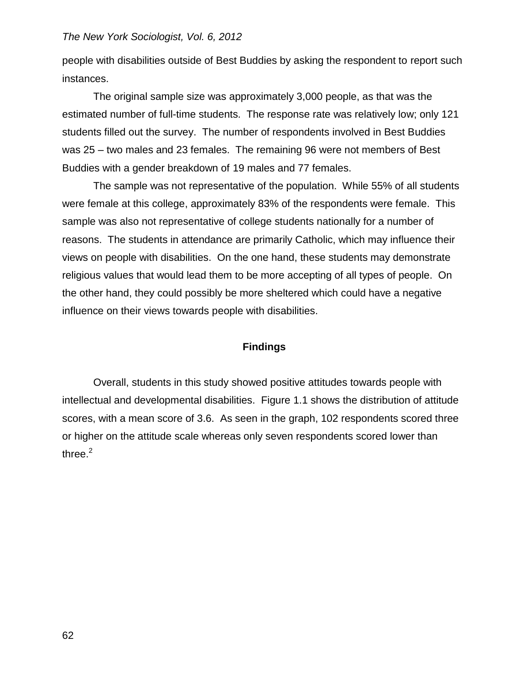people with disabilities outside of Best Buddies by asking the respondent to report such instances.

The original sample size was approximately 3,000 people, as that was the estimated number of full-time students. The response rate was relatively low; only 121 students filled out the survey. The number of respondents involved in Best Buddies was 25 – two males and 23 females. The remaining 96 were not members of Best Buddies with a gender breakdown of 19 males and 77 females.

The sample was not representative of the population. While 55% of all students were female at this college, approximately 83% of the respondents were female. This sample was also not representative of college students nationally for a number of reasons. The students in attendance are primarily Catholic, which may influence their views on people with disabilities. On the one hand, these students may demonstrate religious values that would lead them to be more accepting of all types of people. On the other hand, they could possibly be more sheltered which could have a negative influence on their views towards people with disabilities.

## **Findings**

Overall, students in this study showed positive attitudes towards people with intellectual and developmental disabilities. Figure 1.1 shows the distribution of attitude scores, with a mean score of 3.6. As seen in the graph, 102 respondents scored three or higher on the attitude scale whereas only seven respondents scored lower than three. $<sup>2</sup>$ </sup>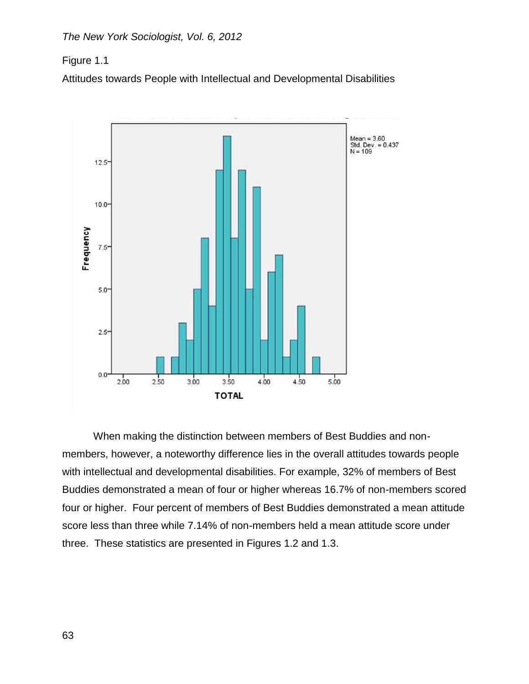Figure 1.1

Attitudes towards People with Intellectual and Developmental Disabilities



When making the distinction between members of Best Buddies and nonmembers, however, a noteworthy difference lies in the overall attitudes towards people with intellectual and developmental disabilities. For example, 32% of members of Best Buddies demonstrated a mean of four or higher whereas 16.7% of non-members scored four or higher. Four percent of members of Best Buddies demonstrated a mean attitude score less than three while 7.14% of non-members held a mean attitude score under three. These statistics are presented in Figures 1.2 and 1.3.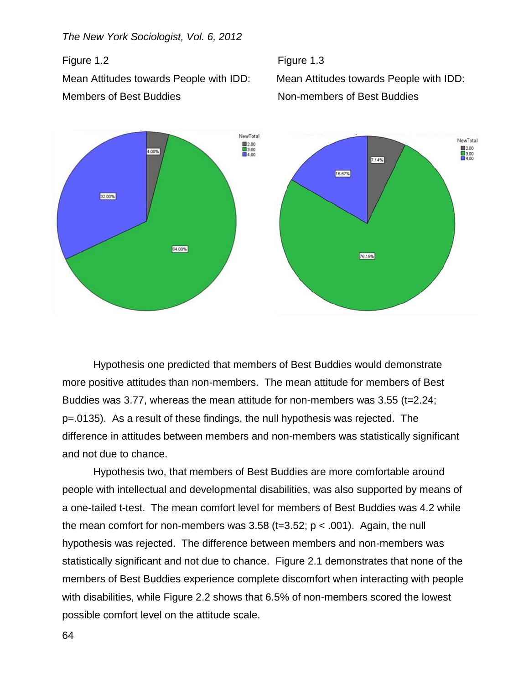*The New York Sociologist, Vol. 6, 2012*

Members of Best Buddies **Non-members of Best Buddies** 





Hypothesis one predicted that members of Best Buddies would demonstrate more positive attitudes than non-members. The mean attitude for members of Best Buddies was 3.77, whereas the mean attitude for non-members was 3.55 (t=2.24; p=.0135). As a result of these findings, the null hypothesis was rejected. The difference in attitudes between members and non-members was statistically significant and not due to chance.

Hypothesis two, that members of Best Buddies are more comfortable around people with intellectual and developmental disabilities, was also supported by means of a one-tailed t-test. The mean comfort level for members of Best Buddies was 4.2 while the mean comfort for non-members was  $3.58$  (t=3.52; p  $\lt$  .001). Again, the null hypothesis was rejected. The difference between members and non-members was statistically significant and not due to chance. Figure 2.1 demonstrates that none of the members of Best Buddies experience complete discomfort when interacting with people with disabilities, while Figure 2.2 shows that 6.5% of non-members scored the lowest possible comfort level on the attitude scale.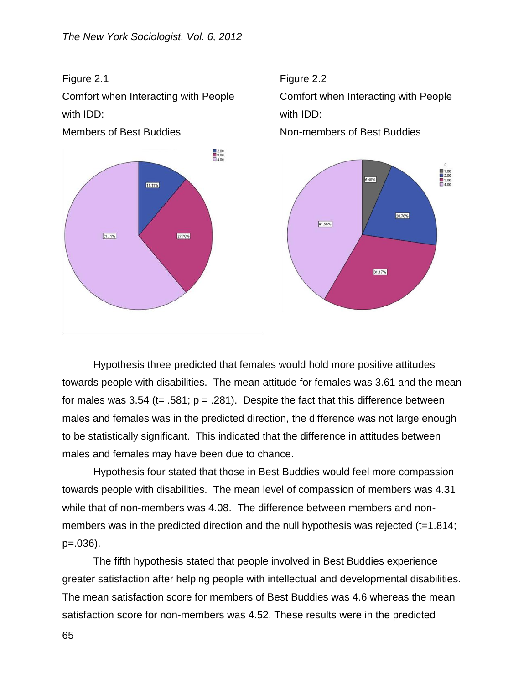

with IDD: with IDD:



Comfort when Interacting with People Comfort when Interacting with People



Hypothesis three predicted that females would hold more positive attitudes towards people with disabilities. The mean attitude for females was 3.61 and the mean for males was 3.54 (t= .581;  $p = .281$ ). Despite the fact that this difference between males and females was in the predicted direction, the difference was not large enough to be statistically significant. This indicated that the difference in attitudes between males and females may have been due to chance.

Hypothesis four stated that those in Best Buddies would feel more compassion towards people with disabilities. The mean level of compassion of members was 4.31 while that of non-members was 4.08. The difference between members and nonmembers was in the predicted direction and the null hypothesis was rejected (t=1.814; p=.036).

The fifth hypothesis stated that people involved in Best Buddies experience greater satisfaction after helping people with intellectual and developmental disabilities. The mean satisfaction score for members of Best Buddies was 4.6 whereas the mean satisfaction score for non-members was 4.52. These results were in the predicted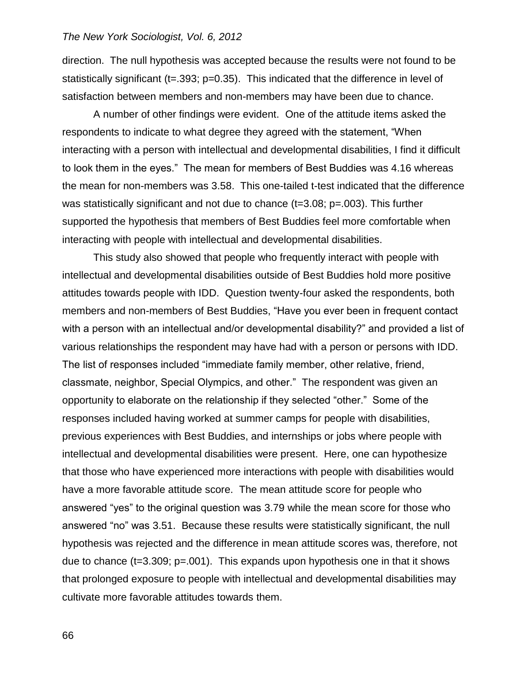direction. The null hypothesis was accepted because the results were not found to be statistically significant (t=.393; p=0.35). This indicated that the difference in level of satisfaction between members and non-members may have been due to chance.

A number of other findings were evident. One of the attitude items asked the respondents to indicate to what degree they agreed with the statement, "When interacting with a person with intellectual and developmental disabilities, I find it difficult to look them in the eyes." The mean for members of Best Buddies was 4.16 whereas the mean for non-members was 3.58. This one-tailed t-test indicated that the difference was statistically significant and not due to chance (t=3.08; p=.003). This further supported the hypothesis that members of Best Buddies feel more comfortable when interacting with people with intellectual and developmental disabilities.

This study also showed that people who frequently interact with people with intellectual and developmental disabilities outside of Best Buddies hold more positive attitudes towards people with IDD. Question twenty-four asked the respondents, both members and non-members of Best Buddies, "Have you ever been in frequent contact with a person with an intellectual and/or developmental disability?" and provided a list of various relationships the respondent may have had with a person or persons with IDD. The list of responses included "immediate family member, other relative, friend, classmate, neighbor, Special Olympics, and other." The respondent was given an opportunity to elaborate on the relationship if they selected "other." Some of the responses included having worked at summer camps for people with disabilities, previous experiences with Best Buddies, and internships or jobs where people with intellectual and developmental disabilities were present. Here, one can hypothesize that those who have experienced more interactions with people with disabilities would have a more favorable attitude score. The mean attitude score for people who answered "yes" to the original question was 3.79 while the mean score for those who answered "no" was 3.51. Because these results were statistically significant, the null hypothesis was rejected and the difference in mean attitude scores was, therefore, not due to chance ( $t=3.309$ ;  $p=.001$ ). This expands upon hypothesis one in that it shows that prolonged exposure to people with intellectual and developmental disabilities may cultivate more favorable attitudes towards them.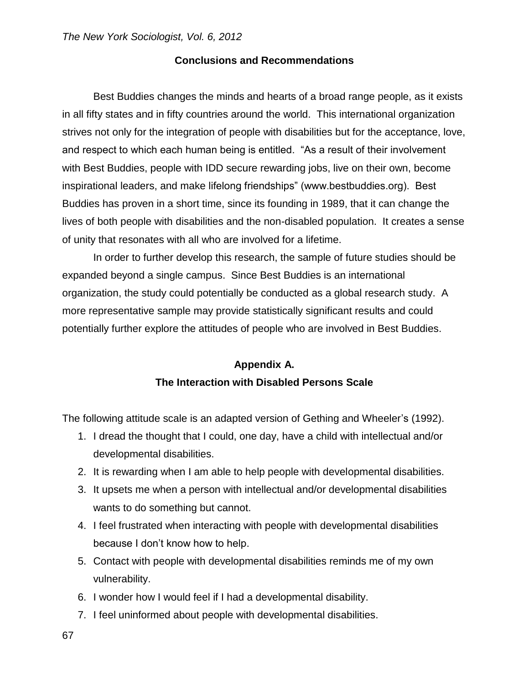## **Conclusions and Recommendations**

Best Buddies changes the minds and hearts of a broad range people, as it exists in all fifty states and in fifty countries around the world. This international organization strives not only for the integration of people with disabilities but for the acceptance, love, and respect to which each human being is entitled. "As a result of their involvement with Best Buddies, people with IDD secure rewarding jobs, live on their own, become inspirational leaders, and make lifelong friendships" (www.bestbuddies.org). Best Buddies has proven in a short time, since its founding in 1989, that it can change the lives of both people with disabilities and the non-disabled population. It creates a sense of unity that resonates with all who are involved for a lifetime.

In order to further develop this research, the sample of future studies should be expanded beyond a single campus. Since Best Buddies is an international organization, the study could potentially be conducted as a global research study. A more representative sample may provide statistically significant results and could potentially further explore the attitudes of people who are involved in Best Buddies.

# **Appendix A. The Interaction with Disabled Persons Scale**

The following attitude scale is an adapted version of Gething and Wheeler's (1992).

- 1. I dread the thought that I could, one day, have a child with intellectual and/or developmental disabilities.
- 2. It is rewarding when I am able to help people with developmental disabilities.
- 3. It upsets me when a person with intellectual and/or developmental disabilities wants to do something but cannot.
- 4. I feel frustrated when interacting with people with developmental disabilities because I don't know how to help.
- 5. Contact with people with developmental disabilities reminds me of my own vulnerability.
- 6. I wonder how I would feel if I had a developmental disability.
- 7. I feel uninformed about people with developmental disabilities.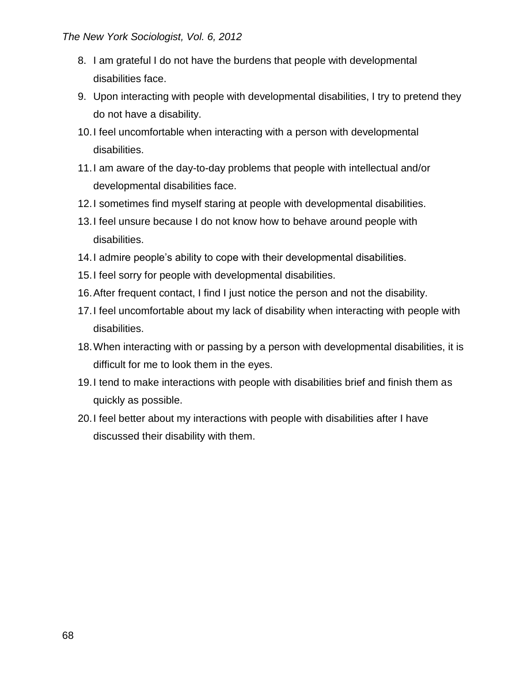- 8. I am grateful I do not have the burdens that people with developmental disabilities face.
- 9. Upon interacting with people with developmental disabilities, I try to pretend they do not have a disability.
- 10.I feel uncomfortable when interacting with a person with developmental disabilities.
- 11.I am aware of the day-to-day problems that people with intellectual and/or developmental disabilities face.
- 12.I sometimes find myself staring at people with developmental disabilities.
- 13.I feel unsure because I do not know how to behave around people with disabilities.
- 14.I admire people's ability to cope with their developmental disabilities.
- 15.I feel sorry for people with developmental disabilities.
- 16.After frequent contact, I find I just notice the person and not the disability.
- 17.I feel uncomfortable about my lack of disability when interacting with people with disabilities.
- 18.When interacting with or passing by a person with developmental disabilities, it is difficult for me to look them in the eyes.
- 19.I tend to make interactions with people with disabilities brief and finish them as quickly as possible.
- 20.I feel better about my interactions with people with disabilities after I have discussed their disability with them.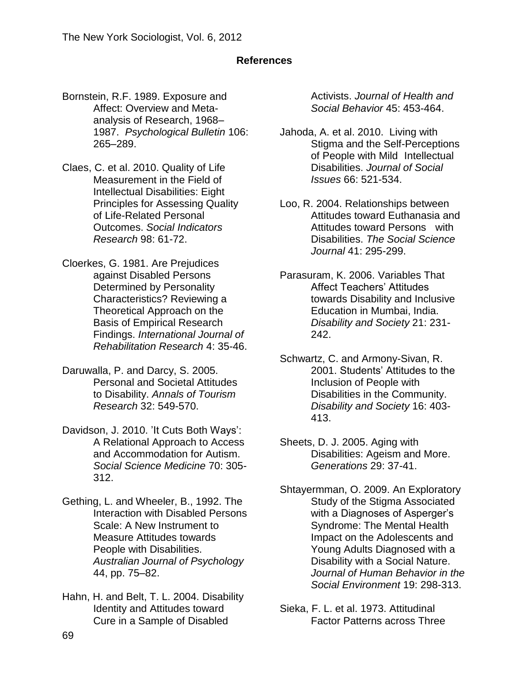## **References**

- Bornstein, R.F. 1989. Exposure and Affect: Overview and Metaanalysis of Research, 1968– 1987. *Psychological Bulletin* 106: 265–289.
- Claes, C. et al. 2010. Quality of Life Measurement in the Field of Intellectual Disabilities: Eight Principles for Assessing Quality of Life-Related Personal Outcomes. *Social Indicators Research* 98: 61-72.
- Cloerkes, G. 1981. Are Prejudices against Disabled Persons Determined by Personality Characteristics? Reviewing a Theoretical Approach on the Basis of Empirical Research Findings. *International Journal of Rehabilitation Research* 4: 35-46.
- Daruwalla, P. and Darcy, S. 2005. Personal and Societal Attitudes to Disability. *Annals of Tourism Research* 32: 549-570.
- Davidson, J. 2010. 'It Cuts Both Ways': A Relational Approach to Access and Accommodation for Autism. *Social Science Medicine* 70: 305- 312.
- [Gething,](http://www.sciencedirect.com/science?_ob=ArticleURL&_udi=B6W64-4C47TSR-D&_user=917323&_coverDate=12%2F31%2F2004&_rdoc=1&_fmt=high&_orig=search&_origin=search&_sort=d&_docanchor=&view=c&_searchStrId=1622256604&_rerunOrigin=google&_acct=C000047960&_version=1&_urlVersion=0&_userid=917323&md5=b88fc6bdeb7db3c29b13bee517202908&searchtype=a#bbib6) L. and Wheeler, B., 1992. The Interaction with Disabled Persons Scale: A New Instrument to Measure Attitudes towards People with Disabilities. *Australian Journal of Psychology* 44, pp. 75–82.
- Hahn, H. and Belt, T. L. 2004. Disability Identity and Attitudes toward Cure in a Sample of Disabled

Activists. *Journal of Health and Social Behavior* 45: 453-464.

- Jahoda, A. et al. 2010. Living with Stigma and the Self-Perceptions of People with Mild Intellectual Disabilities. *Journal of Social Issues* 66: 521-534.
- Loo, R. 2004. Relationships between Attitudes toward Euthanasia and Attitudes toward Persons with Disabilities. *The Social Science Journal* 41: 295-299.
- Parasuram, K. 2006. Variables That Affect Teachers' Attitudes towards Disability and Inclusive Education in Mumbai, India. *Disability and Society* 21: 231- 242.
- Schwartz, C. and Armony-Sivan, R. 2001. Students' Attitudes to the Inclusion of People with Disabilities in the Community. *Disability and Society* 16: 403- 413.
- Sheets, D. J. 2005. Aging with Disabilities: Ageism and More. *Generations* 29: 37-41.
- Shtayermman, O. 2009. An Exploratory Study of the Stigma Associated with a Diagnoses of Asperger's Syndrome: The Mental Health Impact on the Adolescents and Young Adults Diagnosed with a Disability with a Social Nature. *Journal of Human Behavior in the Social Environment* 19: 298-313.
- Sieka, F. L. et al. 1973. Attitudinal Factor Patterns across Three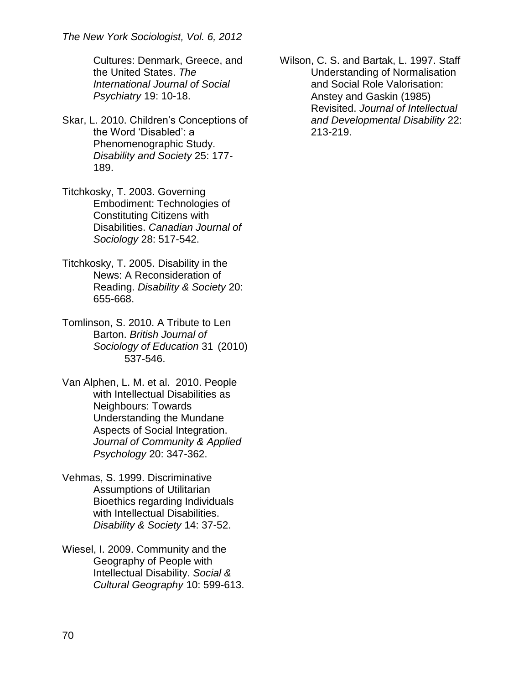Cultures: Denmark, Greece, and the United States. *The International Journal of Social Psychiatry* 19: 10-18.

- Skar, L. 2010. Children's Conceptions of the Word 'Disabled': a Phenomenographic Study. *Disability and Society* 25: 177- 189.
- Titchkosky, T. 2003. Governing Embodiment: Technologies of Constituting Citizens with Disabilities. *Canadian Journal of Sociology* 28: 517-542.
- Titchkosky, T. 2005. Disability in the News: A Reconsideration of Reading. *Disability & Society* 20: 655-668.
- Tomlinson, S. 2010. A Tribute to Len Barton. *British Journal of Sociology of Education* 31 (2010) 537-546.
- Van Alphen, L. M. et al. 2010. People with Intellectual Disabilities as Neighbours: Towards Understanding the Mundane Aspects of Social Integration. *Journal of Community & Applied Psychology* 20: 347-362.
- Vehmas, S. 1999. Discriminative Assumptions of Utilitarian Bioethics regarding Individuals with Intellectual Disabilities. *Disability & Society* 14: 37-52.
- Wiesel, I. 2009. Community and the Geography of People with Intellectual Disability. *Social & Cultural Geography* 10: 599-613.

Wilson, C. S. and Bartak, L. 1997. Staff Understanding of Normalisation and Social Role Valorisation: Anstey and Gaskin (1985) Revisited. *Journal of Intellectual and Developmental Disability* 22: 213-219.